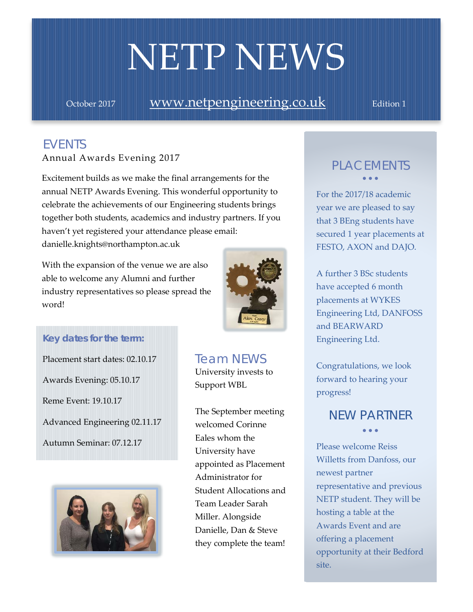# NETP NEWS

October 2017 **[www.netpengineering.co.uk](http://www.netpengineering.co.uk/)** Edition 1

# *EVENTS*

Annual Awards Evening 2017

danielle.knights@northampton.ac.uk Excitement builds as we make the final arrangements for the annual NETP Awards Evening. This wonderful opportunity to celebrate the achievements of our Engineering students brings together both students, academics and industry partners. If you haven't yet registered your attendance please email:

With the expansion of the venue we are also able to welcome any Alumni and further industry representatives so please spread the word!



## *Key dates for the term:*

Placement start dates: 02.10.17 Awards Evening: 05.10.17 Reme Event: 19.10.17 Advanced Engineering 02.11.17 Autumn Seminar: 07.12.17



*Team NEWS* University invests to Support WBL

The September meeting welcomed Corinne Eales whom the University have appointed as Placement Administrator for Student Allocations and Team Leader Sarah Miller. Alongside Danielle, Dan & Steve they complete the team!

## *PLACEMENTS* • • •

For the 2017/18 academic year we are pleased to say that 3 BEng students have secured 1 year placements at FESTO, AXON and DAJO.

A further 3 BSc students have accepted 6 month placements at WYKES Engineering Ltd, DANFOSS and BEARWARD Engineering Ltd.

Congratulations, we look forward to hearing your progress!

# *NEW PARTNER* • • •

Please welcome Reiss Willetts from Danfoss, our newest partner representative and previous NETP student. They will be hosting a table at the Awards Event and are offering a placement opportunity at their Bedford site.